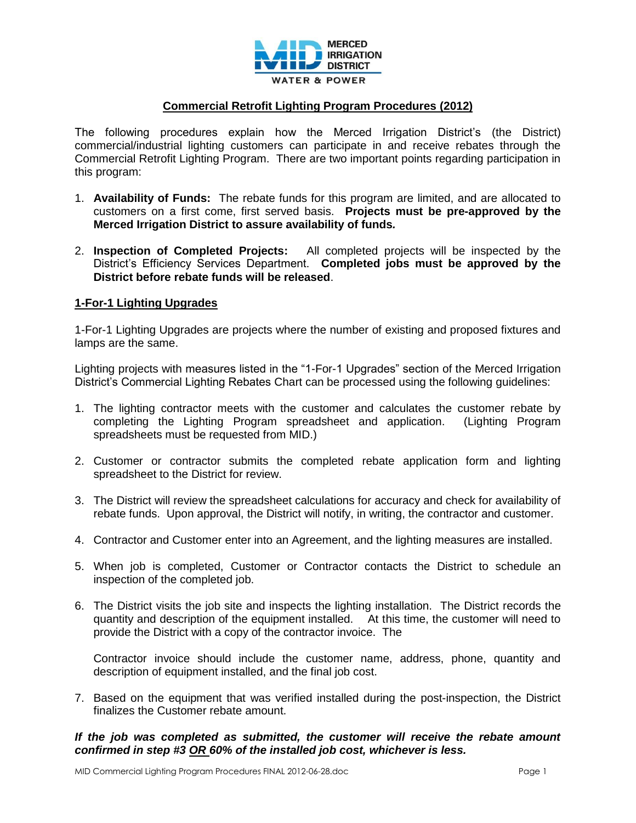

# **Commercial Retrofit Lighting Program Procedures (2012)**

The following procedures explain how the Merced Irrigation District's (the District) commercial/industrial lighting customers can participate in and receive rebates through the Commercial Retrofit Lighting Program. There are two important points regarding participation in this program:

- 1. **Availability of Funds:** The rebate funds for this program are limited, and are allocated to customers on a first come, first served basis. **Projects must be pre-approved by the Merced Irrigation District to assure availability of funds***.*
- 2. **Inspection of Completed Projects:** All completed projects will be inspected by the District's Efficiency Services Department. **Completed jobs must be approved by the District before rebate funds will be released**.

### **1-For-1 Lighting Upgrades**

1-For-1 Lighting Upgrades are projects where the number of existing and proposed fixtures and lamps are the same.

Lighting projects with measures listed in the "1-For-1 Upgrades" section of the Merced Irrigation District's Commercial Lighting Rebates Chart can be processed using the following guidelines:

- 1. The lighting contractor meets with the customer and calculates the customer rebate by completing the Lighting Program spreadsheet and application. (Lighting Program spreadsheets must be requested from MID.)
- 2. Customer or contractor submits the completed rebate application form and lighting spreadsheet to the District for review.
- 3. The District will review the spreadsheet calculations for accuracy and check for availability of rebate funds. Upon approval, the District will notify, in writing, the contractor and customer.
- 4. Contractor and Customer enter into an Agreement, and the lighting measures are installed.
- 5. When job is completed, Customer or Contractor contacts the District to schedule an inspection of the completed job.
- 6. The District visits the job site and inspects the lighting installation. The District records the quantity and description of the equipment installed. At this time, the customer will need to provide the District with a copy of the contractor invoice. The

Contractor invoice should include the customer name, address, phone, quantity and description of equipment installed, and the final job cost.

7. Based on the equipment that was verified installed during the post-inspection, the District finalizes the Customer rebate amount.

# *If the job was completed as submitted, the customer will receive the rebate amount confirmed in step #3 OR 60% of the installed job cost, whichever is less.*